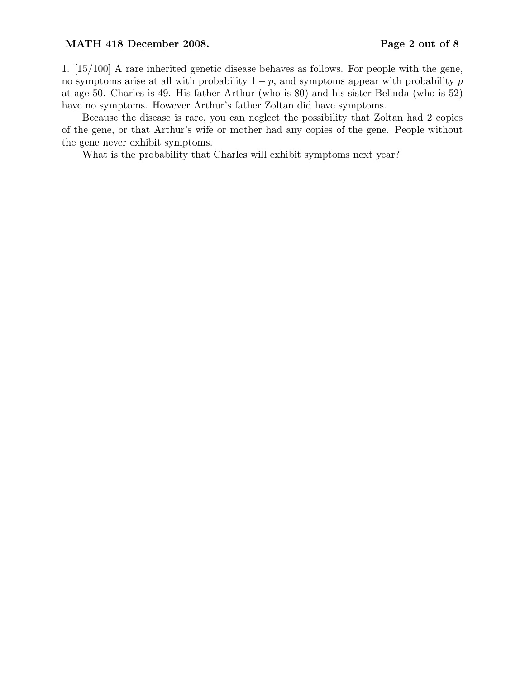#### MATH 418 December 2008. Page 2 out of 8

1. [15/100] A rare inherited genetic disease behaves as follows. For people with the gene, no symptoms arise at all with probability  $1 - p$ , and symptoms appear with probability p at age 50. Charles is 49. His father Arthur (who is 80) and his sister Belinda (who is 52) have no symptoms. However Arthur's father Zoltan did have symptoms.

Because the disease is rare, you can neglect the possibility that Zoltan had 2 copies of the gene, or that Arthur's wife or mother had any copies of the gene. People without the gene never exhibit symptoms.

What is the probability that Charles will exhibit symptoms next year?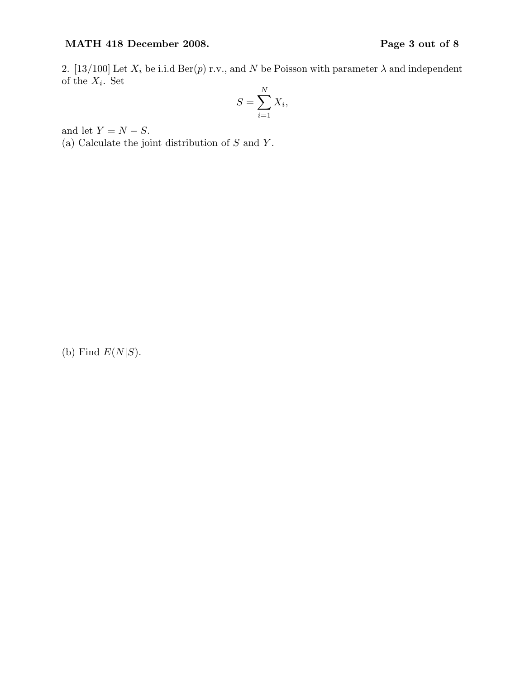# MATH 418 December 2008. Page 3 out of 8

2. [13/100] Let  $X_i$  be i.i.d Ber(p) r.v., and N be Poisson with parameter  $\lambda$  and independent of the  $X_i$ . Set

$$
S = \sum_{i=1}^{N} X_i,
$$

and let  $Y = N - S$ .

(a) Calculate the joint distribution of  $S$  and  $Y$ .

(b) Find  $E(N|S)$ .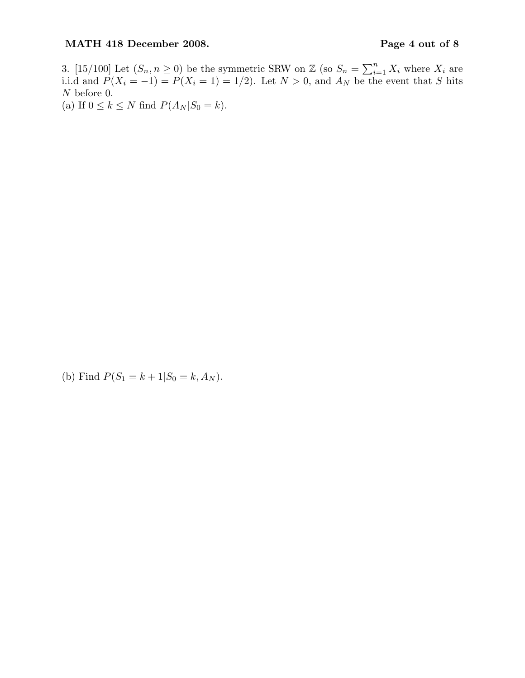## MATH 418 December 2008. Page 4 out of 8

3. [15/100] Let  $(S_n, n \ge 0)$  be the symmetric SRW on Z (so  $S_n = \sum_{i=1}^n X_i$  where  $X_i$  are i.i.d and  $P(X_i = -1) = P(X_i = 1) = 1/2$ . Let  $N > 0$ , and  $A_N$  be the event that S hits N before 0.

(a) If  $0 \leq k \leq N$  find  $P(A_N|S_0 = k)$ .

(b) Find  $P(S_1 = k + 1|S_0 = k, A_N)$ .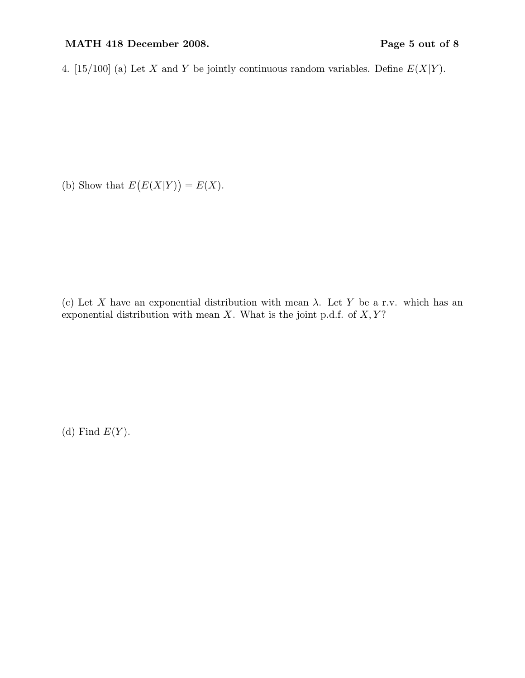## MATH 418 December 2008. Page 5 out of 8

4. [15/100] (a) Let X and Y be jointly continuous random variables. Define  $E(X|Y)$ .

(b) Show that  $E(E(X|Y)) = E(X)$ .

(c) Let X have an exponential distribution with mean  $\lambda$ . Let Y be a r.v. which has an exponential distribution with mean  $X$ . What is the joint p.d.f. of  $X, Y$ ?

(d) Find  $E(Y)$ .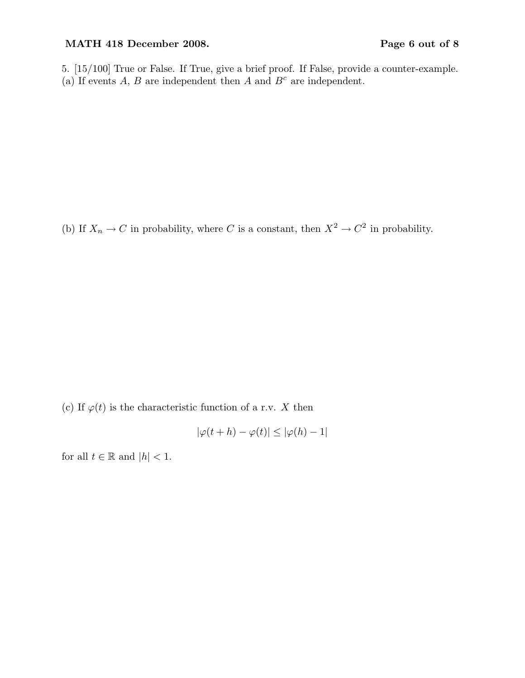## MATH 418 December 2008. Page 6 out of 8

5. [15/100] True or False. If True, give a brief proof. If False, provide a counter-example. (a) If events  $A, B$  are independent then  $A$  and  $B<sup>c</sup>$  are independent.

(b) If  $X_n \to C$  in probability, where C is a constant, then  $X^2 \to C^2$  in probability.

(c) If  $\varphi(t)$  is the characteristic function of a r.v. X then

$$
|\varphi(t+h) - \varphi(t)| \le |\varphi(h) - 1|
$$

for all  $t \in \mathbb{R}$  and  $|h| < 1$ .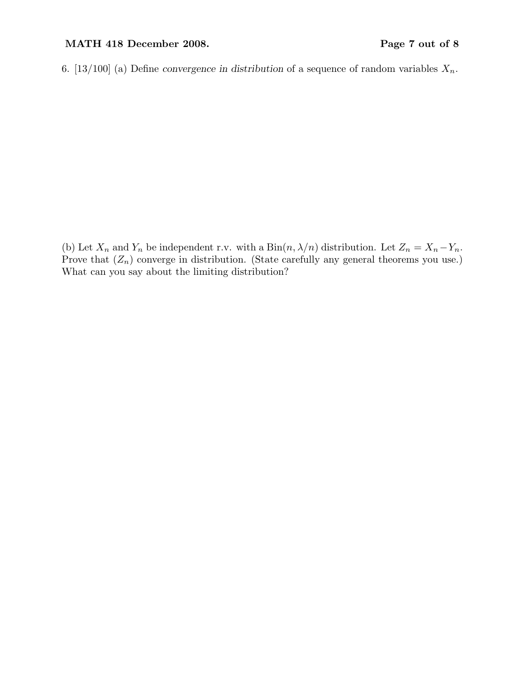## MATH 418 December 2008. Page 7 out of 8

6. [13/100] (a) Define convergence in distribution of a sequence of random variables  $X_n$ .

(b) Let  $X_n$  and  $Y_n$  be independent r.v. with a  $\text{Bin}(n, \lambda/n)$  distribution. Let  $Z_n = X_n - Y_n$ . Prove that  $(Z_n)$  converge in distribution. (State carefully any general theorems you use.) What can you say about the limiting distribution?